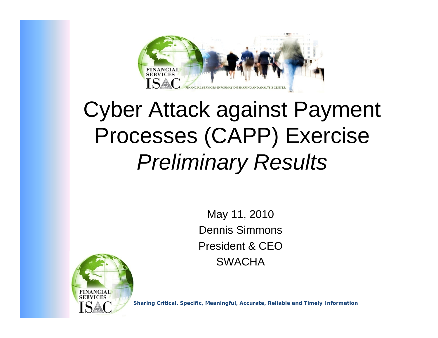

## Cyber Attack against Payment Processes (CAPP) Exercise *Preliminary Results*

May 11, 2010 Dennis SimmonsPresident & CEO**SWACHA** 



**Sharing Critical, Specific, Meaningful, Accurate, Reliable and Timely Information**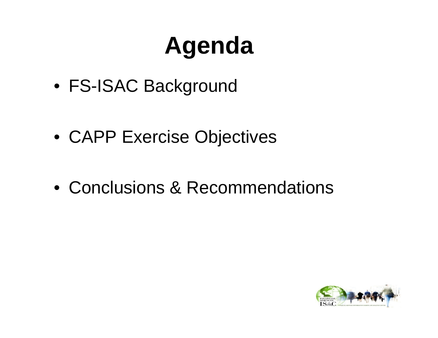# **Agenda**

• FS-ISAC Background

• CAPP Exercise Objectives

• Conclusions & Recommendations

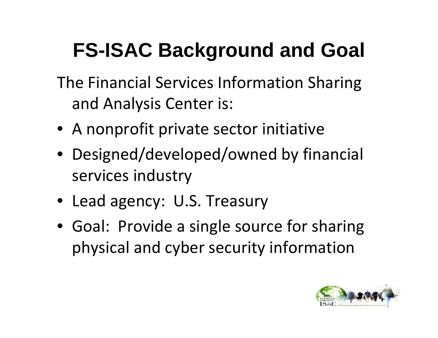## **FS-ISAC Background and Goal**

- The Financial Services Information Sharing and Analysis Center is:
- A nonprofit private sector initiative
- Designed/developed/owned by financial services industry
- Lead agency: U.S. Treasury
- Goal: Provide a single source for sharing physical and cyber security information

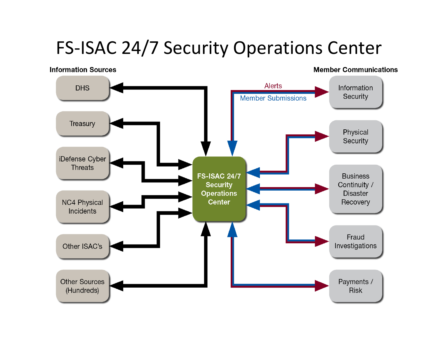### FS‐ISAC 24/7 Security Operations Center

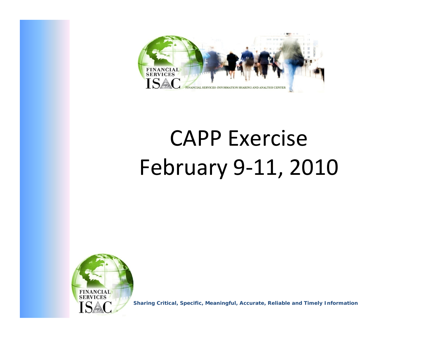

# CAPP Exercise February 9 ‐11, 2010



**Sharing Critical, Specific, Meaningful, Accurate, Reliable and Timely Information**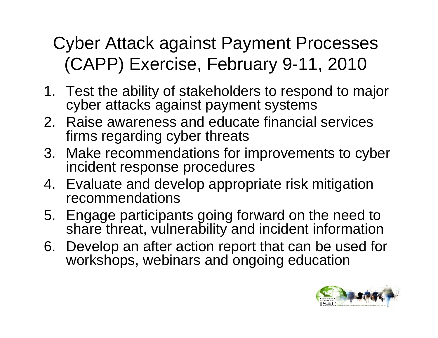## Cyber Attack against Payment Processes (CAPP) Exercise, February 9-11, 2010

- 1. Test the ability of stakeholders to respond to major cyber attacks against payment systems
- 2. Raise awareness and educate financial services firms regarding cyber threats
- 3. Make recommendations for improvements to cyber incident response procedures
- 4. Evaluate and develop appropriate risk mitigation recommendations
- 5. Engage participants going forward on the need to share threat, vulnerability and incident information
- 6. Develop an after action report that can be used for workshops, webinars and ongoing education

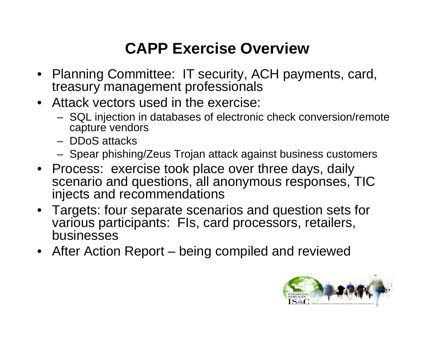#### **CAPP Exercise Overview**

- Planning Committee: IT security, ACH payments, card, treasury management professionals
- Attack vectors used in the exercise:
	- SQL injection in databases of electronic check conversion/remote capture vendors
	- DDoS attacks
	- Spear phishing/Zeus Trojan attack against business customers
- Process: exercise took place over three days, daily scenario and questions, all anonymous responses, TIC injects and recommendations
- Targets: four separate scenarios and question sets for various participants: FIs, card processors, retailers, businesses
- After Action Report being compiled and reviewed

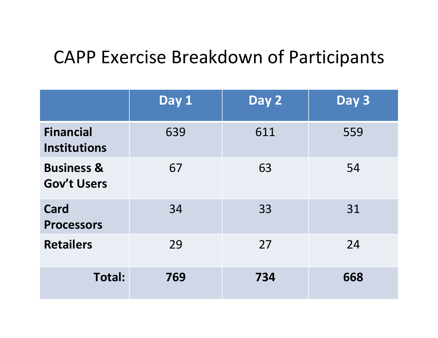### CAPP Exercise Breakdown of Participants

|                                             | Day 1 | Day 2 | Day 3 |
|---------------------------------------------|-------|-------|-------|
| <b>Financial</b><br><b>Institutions</b>     | 639   | 611   | 559   |
| <b>Business &amp;</b><br><b>Gov't Users</b> | 67    | 63    | 54    |
| <b>Card</b><br><b>Processors</b>            | 34    | 33    | 31    |
| <b>Retailers</b>                            | 29    | 27    | 24    |
| <b>Total:</b>                               | 769   | 734   | 668   |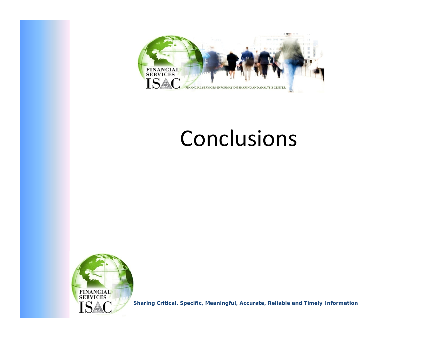

## Conclusions



**Sharing Critical, Specific, Meaningful, Accurate, Reliable and Timely Information**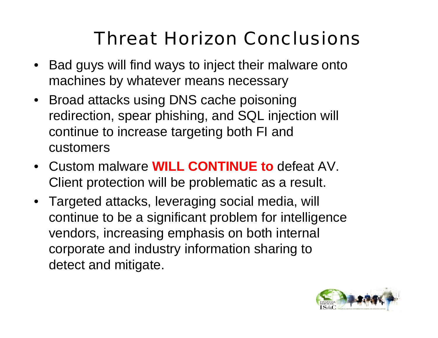## Threat Horizon Conclusions

- Bad guys will find ways to inject their malware onto machines by whatever means necessary
- Broad attacks using DNS cache poisoning redirection, spear phishing, and SQL injection will continue to increase targeting both FI and customers
- Custom malware **WILL CONTINUE to** defeat AV. Client protection will be problematic as a result.
- Targeted attacks, leveraging social media, will continue to be a significant problem for intelligence vendors, increasing emphasis on both internal corporate and industry information sharing to detect and mitigate.

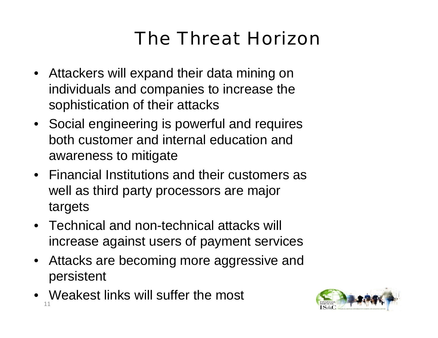## The Threat Horizon

- Attackers will expand their data mining on individuals and companies to increase the sophistication of their attacks
- Social engineering is powerful and requires both customer and internal education and awareness to mitigate
- Financial Institutions and their customers as well as third party processors are major targets
- Technical and non-technical attacks will increase against users of payment services
- Attacks are becoming more aggressive and persistent
- Weakest links will suffer the most 11